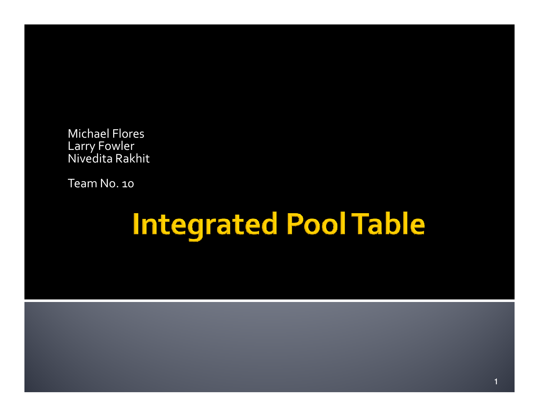Michael FloresLarry Fowler Nivedita Rakhit

Team No. 10

# **Integrated Pool Table**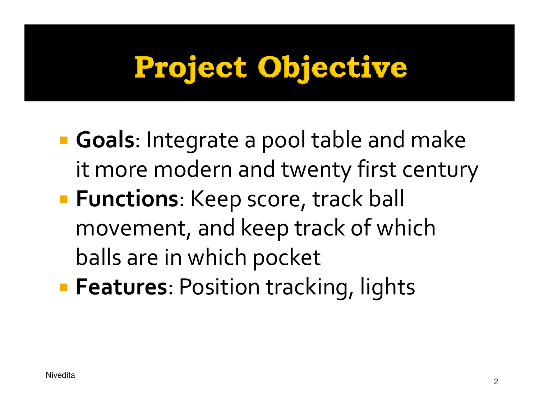# Project Objective

- **Goals**: Integrate a pool table and make it more modern and twenty first century**Functions**: Keep score, track ball movement, and keep track of which balls are in which pocket
- **Features**: Position tracking, lights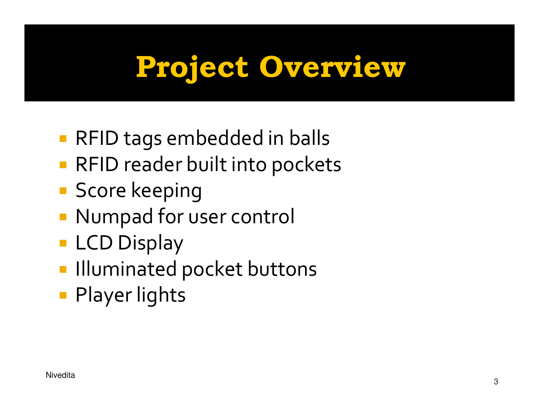# Project Overview

- RFID tags embedded in balls
- RFID reader built into pockets
- **Service Service** Score keeping
- Numpad for user control
- **LCD Display**
- **Illuminated pocket buttons**
- Player lights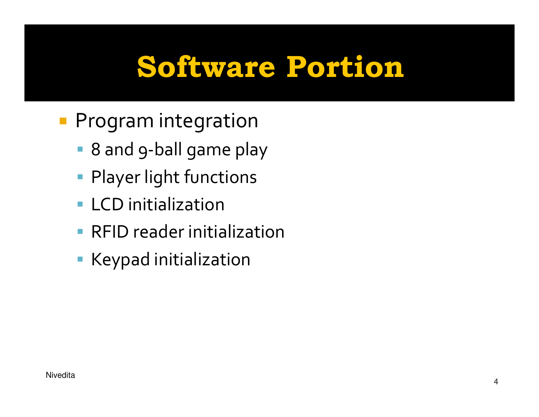# Software Portion

- **Program integration** 
	- 8 and 9-ball game play
	- Player light functions
	- **ELCD** initialization
	- **RFID reader initialization**
	- Keypad initialization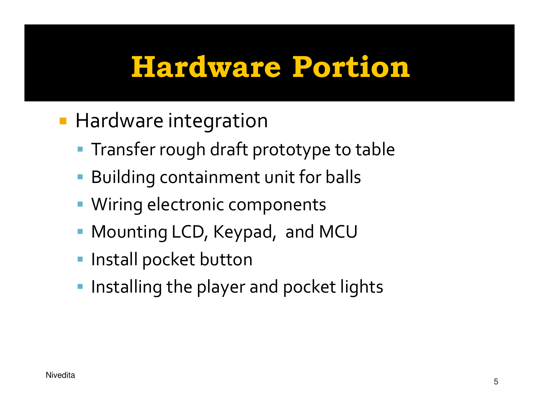### Hardware Portion

- **Hardware integration** 
	- **Transfer rough draft prototype to table**
	- Building containment unit for balls
	- Wiring electronic components
	- Mounting LCD, Keypad, and MCU
	- **Install pocket button**
	- $\blacksquare$  Installing the player and pocket lights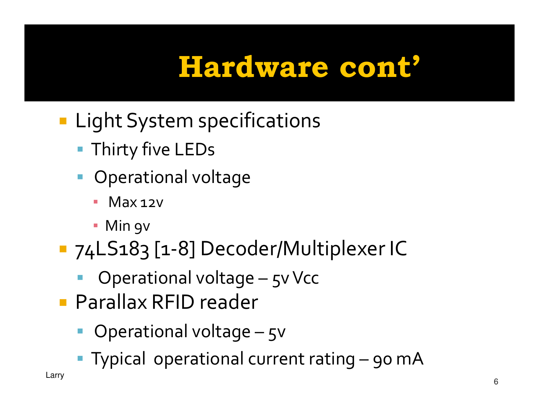# Hardware cont'

- **Light System specifications** 
	- Thirty five LEDs
	- **•** Operational voltage
		- **₽** Max 12v
		- Min 9v
- **Service Service**  74LS183 [1-8] Decoder/Multiplexer IC
	- Operational voltage 5v Vcc
- **Service Service** ■ Parallax RFID reader
	- **•** Operational voltage 5v
	- Typical operational current rating 90 mA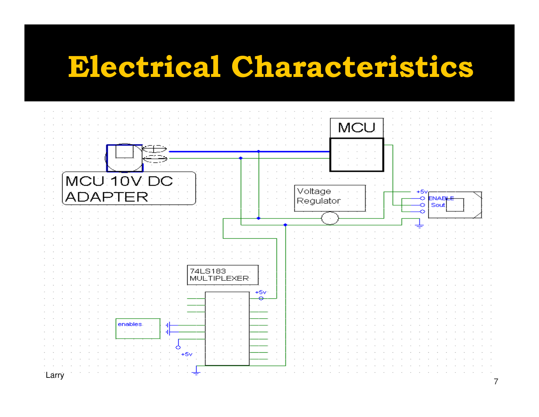#### Electrical Characteristics

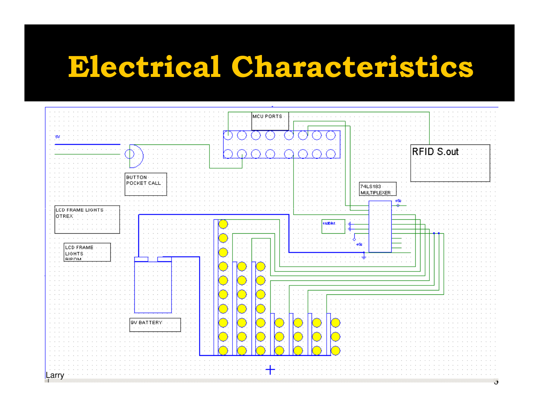### Electrical Characteristics

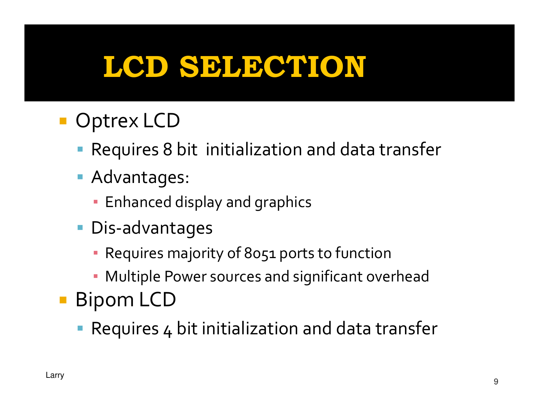# LCD SELECTION

- Optrex LCD
	- Requires 8 bit initialization and data transfer
	- Advantages:
		- Enhanced display and graphics
	- Dis-advantages
		- **Requires majority of 8051 ports to function**
		- Multiple Power sources and significant overhead
- Bipom LCD
	- Requires 4 bit initialization and data transfer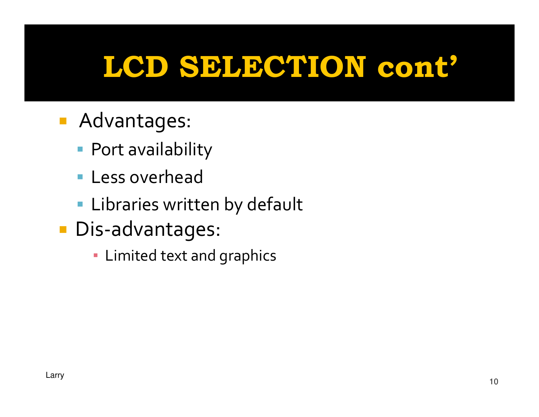# LCD SELECTION cont'

- Advantages:
	- Port availability
	- Less overhead
	- Libraries written by default
- Dis-advantages:
	- Limited text and graphics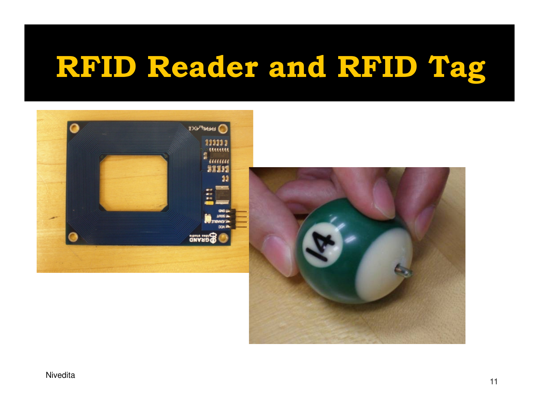# RFID Reader and RFID Tag



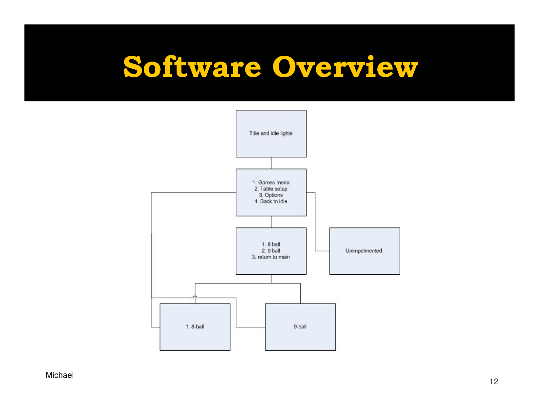#### Software Overview



Michael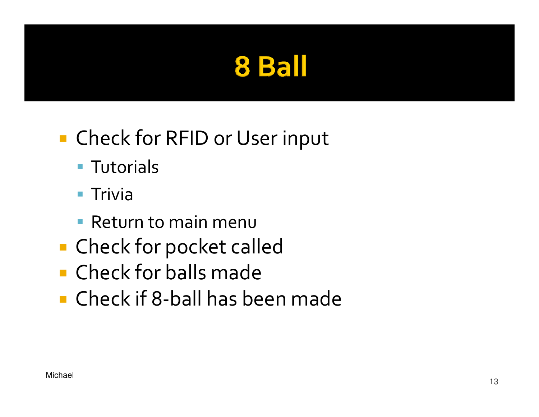#### 8 Ball

#### Check for RFID or User input

- Tutorials
- $\blacksquare$  Trivia
- **Return to main menu**
- **Service Service** ■ Check for pocket called
- **E** Check for balls made
- Check if 8-ball has been made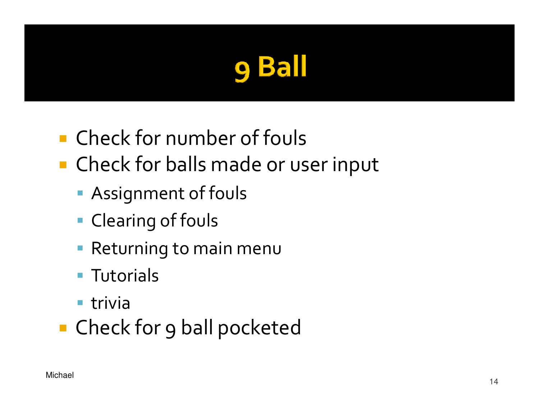#### **Ball** Q

- Check for number of fouls
- Check for balls made or user input
	- Assignment of fouls
	- **Clearing of fouls**
	- Returning to main menu
	- Tutorials
	- **-** trivia
- Check for 9 ball pocketed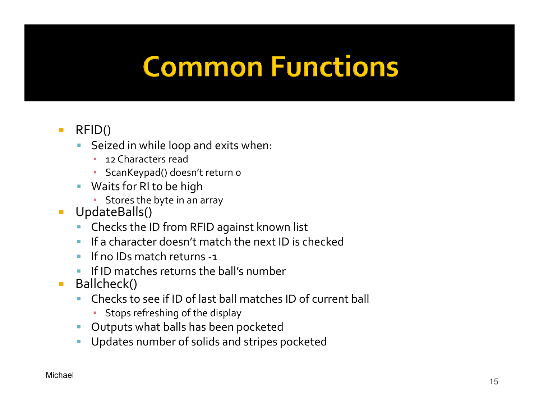# **Common Functions**

#### $\mathcal{L}_{\mathcal{A}}$ RFID()

- Seized in while loop and exits when:
	- ▪12 Characters read
	- ScanKeypad() doesn't return 0
- Waits for RI to be high
	- Stores the byte in an array
- $\mathcal{L}$  UpdateBalls()
	- Checks the ID from RFID against known list
	- $\mathbf{r}$ If a character doesn't match the next ID is checked
	- $\mathcal{L}_{\mathcal{A}}$ If no IDs match returns -1
	- **IF ID matches returns the ball's number**
- $\mathcal{L}_{\mathcal{A}}$  Ballcheck()
	- **College**  Checks to see if ID of last ball matches ID of current ball
		- Stops refreshing of the display
	- Outputs what balls has been pocketed $\mathcal{L}_{\mathcal{A}}$
	- Updates number of solids and stripes pocketed $\mathcal{L}_{\mathcal{A}}$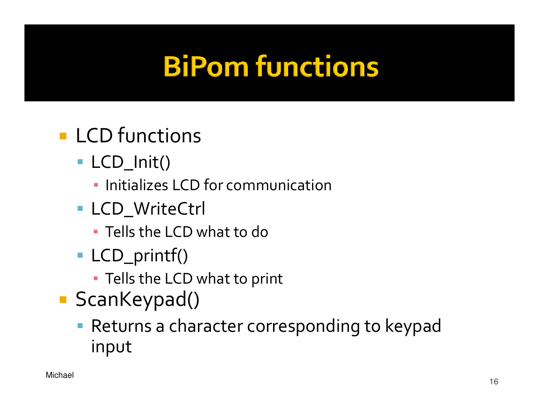# **BiPom functions**

- **LCD** functions
	- LCD\_Init()
		- **· Initializes LCD for communication**
	- **LCD\_WriteCtrl** 
		- $\textcolor{red}{\bullet}$  Tells the LCD what to do
	- LCD\_printf()
		- Tells the LCD what to print
- ScanKeypad()
	- Returns a character corresponding to keypad input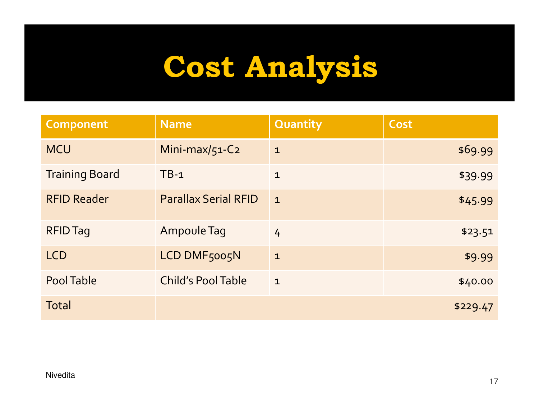# Cost Analysis

| Component             | <b>Name</b>                 | <b>Quantity</b> | Cost     |
|-----------------------|-----------------------------|-----------------|----------|
| <b>MCU</b>            | Mini-max/51-C2              | $\mathbf{1}$    | \$69.99  |
| <b>Training Board</b> | $TB-1$                      | $\mathbf{1}$    | \$39.99  |
| <b>RFID Reader</b>    | <b>Parallax Serial RFID</b> | $\mathbf{1}$    | \$45.99  |
| <b>RFID Tag</b>       | Ampoule Tag                 | $\frac{1}{4}$   | \$23.51  |
| <b>LCD</b>            | LCD DMF5005N                | $\mathbf{1}$    | \$9.99   |
| Pool Table            | <b>Child's Pool Table</b>   | $\mathbf{1}$    | \$40.00  |
| <b>Total</b>          |                             |                 | \$229.47 |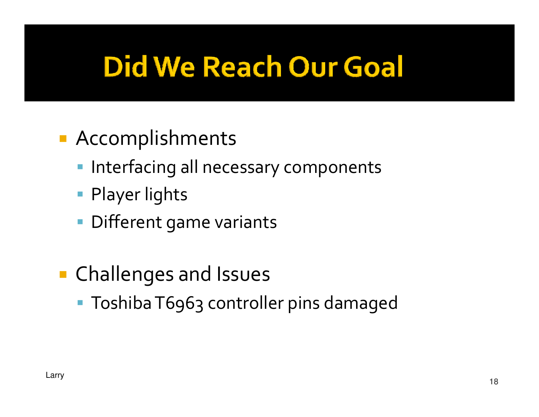# **Did We Reach Our Goal**

- Accomplishments
	- **Interfacing all necessary components**
	- Player lights
	- Different game variants
- **Contract Contract Contract Contract Contract Contract Contract Contract Contract Contract Contract Contract C** ■ Challenges and Issues
	- Toshiba T6963 controller pins damaged